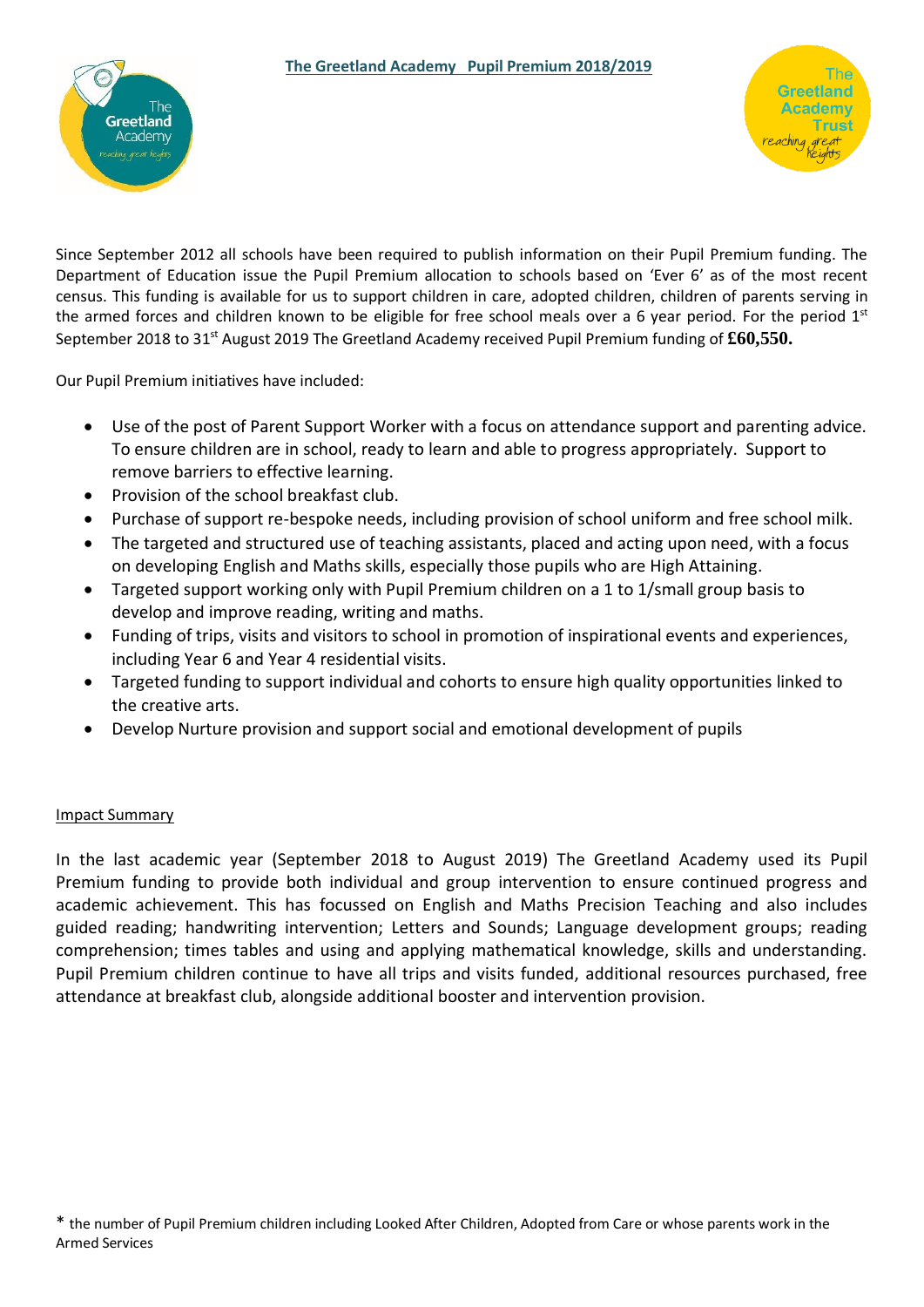



Since September 2012 all schools have been required to publish information on their Pupil Premium funding. The Department of Education issue the Pupil Premium allocation to schools based on 'Ever 6' as of the most recent census. This funding is available for us to support children in care, adopted children, children of parents serving in the armed forces and children known to be eligible for free school meals over a 6 year period. For the period  $1<sup>st</sup>$ September 2018 to 31st August 2019 The Greetland Academy received Pupil Premium funding of **£60,550.**

Our Pupil Premium initiatives have included:

- Use of the post of Parent Support Worker with a focus on attendance support and parenting advice. To ensure children are in school, ready to learn and able to progress appropriately. Support to remove barriers to effective learning.
- Provision of the school breakfast club.
- Purchase of support re-bespoke needs, including provision of school uniform and free school milk.
- The targeted and structured use of teaching assistants, placed and acting upon need, with a focus on developing English and Maths skills, especially those pupils who are High Attaining.
- Targeted support working only with Pupil Premium children on a 1 to 1/small group basis to develop and improve reading, writing and maths.
- Funding of trips, visits and visitors to school in promotion of inspirational events and experiences, including Year 6 and Year 4 residential visits.
- Targeted funding to support individual and cohorts to ensure high quality opportunities linked to the creative arts.
- Develop Nurture provision and support social and emotional development of pupils

#### Impact Summary

In the last academic year (September 2018 to August 2019) The Greetland Academy used its Pupil Premium funding to provide both individual and group intervention to ensure continued progress and academic achievement. This has focussed on English and Maths Precision Teaching and also includes guided reading; handwriting intervention; Letters and Sounds; Language development groups; reading comprehension; times tables and using and applying mathematical knowledge, skills and understanding. Pupil Premium children continue to have all trips and visits funded, additional resources purchased, free attendance at breakfast club, alongside additional booster and intervention provision.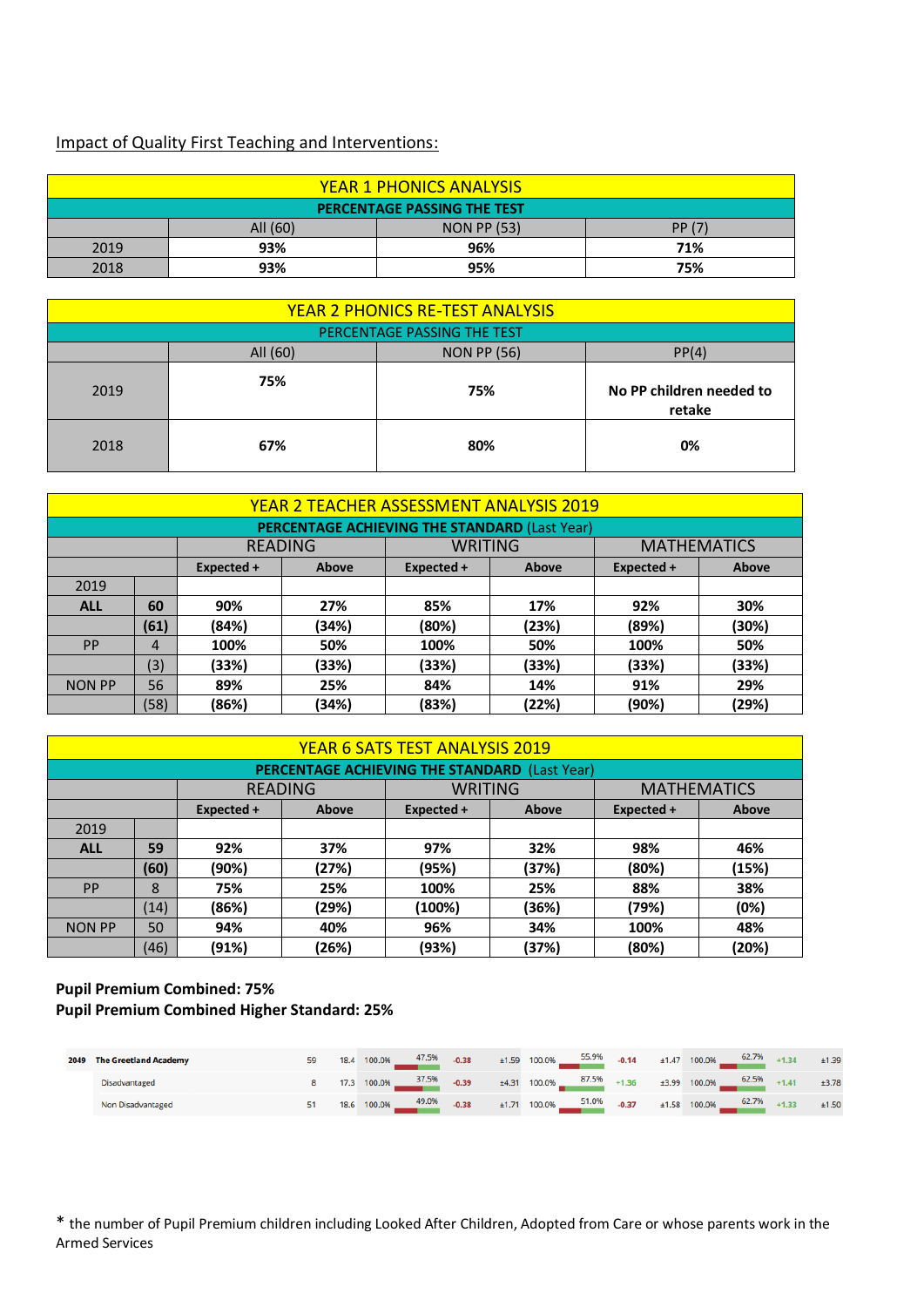# Impact of Quality First Teaching and Interventions:

| <b>YEAR 1 PHONICS ANALYSIS</b> |                                          |     |     |  |  |  |  |  |  |  |
|--------------------------------|------------------------------------------|-----|-----|--|--|--|--|--|--|--|
| PERCENTAGE PASSING THE TEST    |                                          |     |     |  |  |  |  |  |  |  |
|                                | <b>NON PP (53)</b><br>PP (7)<br>All (60) |     |     |  |  |  |  |  |  |  |
| 2019                           | 93%                                      | 96% | 71% |  |  |  |  |  |  |  |
| 2018                           | 93%                                      | 95% | 75% |  |  |  |  |  |  |  |

| <b>YEAR 2 PHONICS RE-TEST ANALYSIS</b>  |     |     |                                    |  |  |  |  |  |  |
|-----------------------------------------|-----|-----|------------------------------------|--|--|--|--|--|--|
| PERCENTAGE PASSING THE TEST             |     |     |                                    |  |  |  |  |  |  |
| PP(4)<br>All (60)<br><b>NON PP (56)</b> |     |     |                                    |  |  |  |  |  |  |
| 2019                                    | 75% | 75% | No PP children needed to<br>retake |  |  |  |  |  |  |
| 2018                                    | 67% | 80% | 0%                                 |  |  |  |  |  |  |

| <b>YEAR 2 TEACHER ASSESSMENT ANALYSIS 2019</b>                    |                |       |       |       |       |       |       |  |  |  |  |
|-------------------------------------------------------------------|----------------|-------|-------|-------|-------|-------|-------|--|--|--|--|
| <b>PERCENTAGE ACHIEVING THE STANDARD (Last Year)</b>              |                |       |       |       |       |       |       |  |  |  |  |
| <b>MATHEMATICS</b><br><b>WRITING</b><br><b>READING</b>            |                |       |       |       |       |       |       |  |  |  |  |
| Above<br>Expected +<br>Above<br>Expected +<br>Above<br>Expected + |                |       |       |       |       |       |       |  |  |  |  |
| 2019                                                              |                |       |       |       |       |       |       |  |  |  |  |
| <b>ALL</b>                                                        | 60             | 90%   | 27%   | 85%   | 17%   | 92%   | 30%   |  |  |  |  |
|                                                                   | (61)           | (84%) | (34%) | (80%) | (23%) | (89%) | (30%) |  |  |  |  |
| PP                                                                | $\overline{4}$ | 100%  | 50%   | 100%  | 50%   | 100%  | 50%   |  |  |  |  |
|                                                                   | (3)            | (33%) | (33%) | (33%) | (33%) | (33%) | (33%) |  |  |  |  |
| <b>NON PP</b>                                                     | 56             | 89%   | 25%   | 84%   | 14%   | 91%   | 29%   |  |  |  |  |
|                                                                   | (58)           | (86%) | (34%) | (83%) | (22%) | (90%) | (29%) |  |  |  |  |

| YEAR 6 SATS TEST ANALYSIS 2019                         |            |       |       |        |       |       |       |  |  |  |  |
|--------------------------------------------------------|------------|-------|-------|--------|-------|-------|-------|--|--|--|--|
| <b>PERCENTAGE ACHIEVING THE STANDARD (Last Year)</b>   |            |       |       |        |       |       |       |  |  |  |  |
| <b>MATHEMATICS</b><br><b>WRITING</b><br><b>READING</b> |            |       |       |        |       |       |       |  |  |  |  |
|                                                        | Expected + | Above |       |        |       |       |       |  |  |  |  |
| 2019                                                   |            |       |       |        |       |       |       |  |  |  |  |
| <b>ALL</b>                                             | 59         | 92%   | 37%   | 97%    | 32%   | 98%   | 46%   |  |  |  |  |
|                                                        | (60)       | (90%) | (27%) | (95%)  | (37%) | (80%) | (15%) |  |  |  |  |
| <b>PP</b>                                              | 8          | 75%   | 25%   | 100%   | 25%   | 88%   | 38%   |  |  |  |  |
|                                                        | (14)       | (86%) | (29%) | (100%) | (36%) | (79%) | (0%)  |  |  |  |  |
| <b>NON PP</b>                                          | 50         | 94%   | 40%   | 96%    | 34%   | 100%  | 48%   |  |  |  |  |
|                                                        | (46)       | (91%) | (26%) | (93%)  | (37%) | (80%) | (20%) |  |  |  |  |

### **Pupil Premium Combined: 75% Pupil Premium Combined Higher Standard: 25%**

| 2049 | <b>The Greetland Academy</b> | 18.4 | $100.0\%$ $47.5\%$ $0.38$ $\pm 1.59$ $100.0\%$ $55.9\%$ $0.14$ $\pm 1.47$ $100.0\%$ $62.7\%$ $+1.34$ $\pm 1.39$          |  |  |                                    |  |                                             |       |
|------|------------------------------|------|--------------------------------------------------------------------------------------------------------------------------|--|--|------------------------------------|--|---------------------------------------------|-------|
|      | Disadvantaged                |      | $17.3$ $100.0\%$ $37.5\%$ $-0.39$ $\pm 4.31$ $100.0\%$ $87.5\%$ $+1.36$ $\pm 3.99$ $100.0\%$ $62.5\%$ $+1.41$ $\pm 3.78$ |  |  |                                    |  |                                             |       |
|      | Non Disadvantaged            |      | 18.6 100.0% 49.0%                                                                                                        |  |  | $-0.38$ $\pm 1.71$ 100.0% $51.0\%$ |  | $-0.37$ $\pm 1.58$ 100.0% $ 62.7\%$ $+1.33$ | ±1.50 |

\* the number of Pupil Premium children including Looked After Children, Adopted from Care or whose parents work in the Armed Services